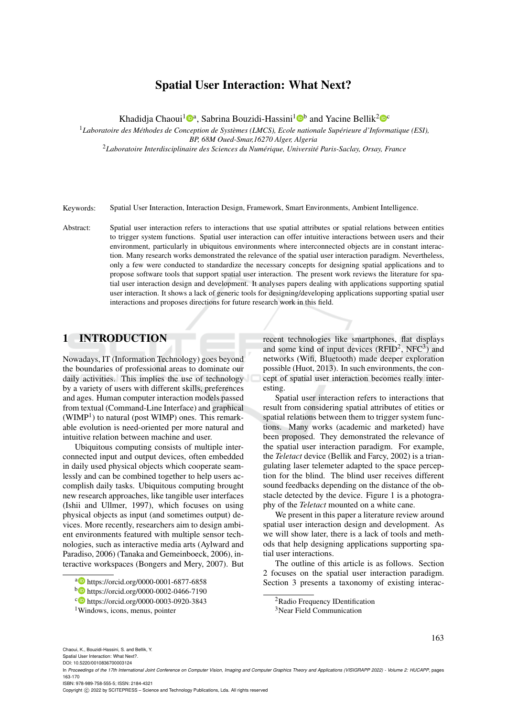# Spatial User Interaction: What Next?

Khadidja Chaoui<sup>1</sup><sup>®</sup>, Sabrina Bouzidi-Hassini<sup>1</sup><sup>®</sup> and Yacine Bellik<sup>2</sup><sup>®</sup>

<sup>1</sup>*Laboratoire des Methodes de Conception de Syst ´ emes (LMCS), Ecole nationale Sup ` erieure d'Informatique (ESI), ´*

*BP, 68M Oued-Smar,16270 Alger, Algeria*

<sup>2</sup>*Laboratoire Interdisciplinaire des Sciences du Numerique, Universit ´ e Paris-Saclay, Orsay, France ´*

Keywords: Spatial User Interaction, Interaction Design, Framework, Smart Environments, Ambient Intelligence.

Abstract: Spatial user interaction refers to interactions that use spatial attributes or spatial relations between entities to trigger system functions. Spatial user interaction can offer intuitive interactions between users and their environment, particularly in ubiquitous environments where interconnected objects are in constant interaction. Many research works demonstrated the relevance of the spatial user interaction paradigm. Nevertheless, only a few were conducted to standardize the necessary concepts for designing spatial applications and to propose software tools that support spatial user interaction. The present work reviews the literature for spatial user interaction design and development. It analyses papers dealing with applications supporting spatial user interaction. It shows a lack of generic tools for designing/developing applications supporting spatial user interactions and proposes directions for future research work in this field.

### 1 INTRODUCTION

Nowadays, IT (Information Technology) goes beyond the boundaries of professional areas to dominate our daily activities. This implies the use of technology by a variety of users with different skills, preferences and ages. Human computer interaction models passed from textual (Command-Line Interface) and graphical  $(WIMP<sup>1</sup>)$  to natural (post WIMP) ones. This remarkable evolution is need-oriented per more natural and intuitive relation between machine and user.

Ubiquitous computing consists of multiple interconnected input and output devices, often embedded in daily used physical objects which cooperate seamlessly and can be combined together to help users accomplish daily tasks. Ubiquitous computing brought new research approaches, like tangible user interfaces (Ishii and Ullmer, 1997), which focuses on using physical objects as input (and sometimes output) devices. More recently, researchers aim to design ambient environments featured with multiple sensor technologies, such as interactive media arts (Aylward and Paradiso, 2006) (Tanaka and Gemeinboeck, 2006), interactive workspaces (Bongers and Mery, 2007). But

recent technologies like smartphones, flat displays and some kind of input devices  $(RFID<sup>2</sup>, NFC<sup>3</sup>)$  and networks (Wifi, Bluetooth) made deeper exploration possible (Huot, 2013). In such environments, the concept of spatial user interaction becomes really interesting.

Spatial user interaction refers to interactions that result from considering spatial attributes of etities or spatial relations between them to trigger system functions. Many works (academic and marketed) have been proposed. They demonstrated the relevance of the spatial user interaction paradigm. For example, the *Teletact* device (Bellik and Farcy, 2002) is a triangulating laser telemeter adapted to the space perception for the blind. The blind user receives different sound feedbacks depending on the distance of the obstacle detected by the device. Figure 1 is a photography of the *Teletact* mounted on a white cane.

We present in this paper a literature review around spatial user interaction design and development. As we will show later, there is a lack of tools and methods that help designing applications supporting spatial user interactions.

The outline of this article is as follows. Section 2 focuses on the spatial user interaction paradigm. Section 3 presents a taxonomy of existing interac-

163

Spatial User Interaction: What Next?. DOI: 10.5220/0010836700003124

ISBN: 978-989-758-555-5; ISSN: 2184-4321

Copyright (C) 2022 by SCITEPRESS - Science and Technology Publications, Lda. All rights reserved

a **b** https://orcid.org/0000-0001-6877-6858

<sup>b</sup> https://orcid.org/0000-0002-0466-7190

<sup>c</sup> https://orcid.org/0000-0003-0920-3843

<sup>1</sup>Windows, icons, menus, pointer

<sup>&</sup>lt;sup>2</sup>Radio Frequency IDentification <sup>3</sup>Near Field Communication

In *Proceedings of the 17th International Joint Conference on Computer Vision, Imaging and Computer Graphics Theory and Applications (VISIGRAPP 2022) - Volume 2: HUCAPP*, pages 163-170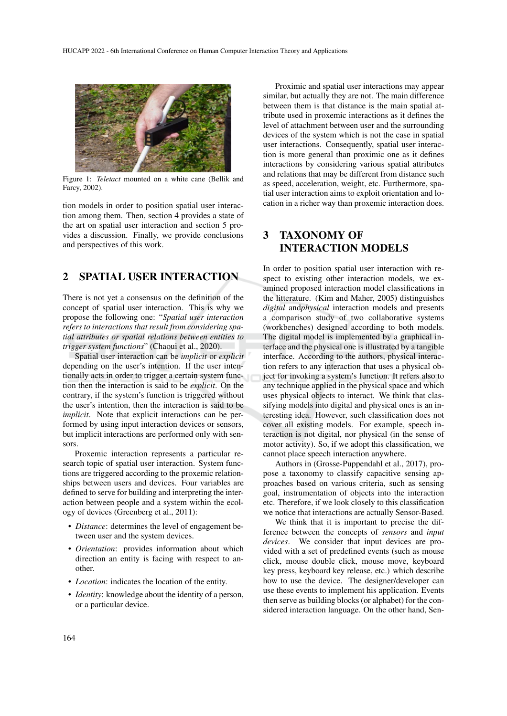

Figure 1: *Teletact* mounted on a white cane (Bellik and Farcy, 2002).

tion models in order to position spatial user interaction among them. Then, section 4 provides a state of the art on spatial user interaction and section 5 provides a discussion. Finally, we provide conclusions and perspectives of this work.

## 2 SPATIAL USER INTERACTION

There is not yet a consensus on the definition of the concept of spatial user interaction. This is why we propose the following one: "*Spatial user interaction refers to interactions that result from considering spatial attributes or spatial relations between entities to trigger system functions*" (Chaoui et al., 2020).

Spatial user interaction can be *implicit* or *explicit* depending on the user's intention. If the user intentionally acts in order to trigger a certain system function then the interaction is said to be *explicit*. On the contrary, if the system's function is triggered without the user's intention, then the interaction is said to be *implicit*. Note that explicit interactions can be performed by using input interaction devices or sensors, but implicit interactions are performed only with sensors.

Proxemic interaction represents a particular research topic of spatial user interaction. System functions are triggered according to the proxemic relationships between users and devices. Four variables are defined to serve for building and interpreting the interaction between people and a system within the ecology of devices (Greenberg et al., 2011):

- *Distance*: determines the level of engagement between user and the system devices.
- *Orientation*: provides information about which direction an entity is facing with respect to another.
- *Location*: indicates the location of the entity.
- *Identity*: knowledge about the identity of a person, or a particular device.

Proximic and spatial user interactions may appear similar, but actually they are not. The main difference between them is that distance is the main spatial attribute used in proxemic interactions as it defines the level of attachment between user and the surrounding devices of the system which is not the case in spatial user interactions. Consequently, spatial user interaction is more general than proximic one as it defines interactions by considering various spatial attributes and relations that may be different from distance such as speed, acceleration, weight, etc. Furthermore, spatial user interaction aims to exploit orientation and location in a richer way than proxemic interaction does.

# 3 TAXONOMY OF INTERACTION MODELS

In order to position spatial user interaction with respect to existing other interaction models, we examined proposed interaction model classifications in the litterature. (Kim and Maher, 2005) distinguishes *digital* and*physical* interaction models and presents a comparison study of two collaborative systems (workbenches) designed according to both models. The digital model is implemented by a graphical interface and the physical one is illustrated by a tangible interface. According to the authors, physical interaction refers to any interaction that uses a physical object for invoking a system's function. It refers also to any technique applied in the physical space and which uses physical objects to interact. We think that classifying models into digital and physical ones is an interesting idea. However, such classification does not cover all existing models. For example, speech interaction is not digital, nor physical (in the sense of motor activity). So, if we adopt this classification, we cannot place speech interaction anywhere.

Authors in (Grosse-Puppendahl et al., 2017), propose a taxonomy to classify capacitive sensing approaches based on various criteria, such as sensing goal, instrumentation of objects into the interaction etc. Therefore, if we look closely to this classification we notice that interactions are actually Sensor-Based.

We think that it is important to precise the difference between the concepts of *sensors* and *input devices*. We consider that input devices are provided with a set of predefined events (such as mouse click, mouse double click, mouse move, keyboard key press, keyboard key release, etc.) which describe how to use the device. The designer/developer can use these events to implement his application. Events then serve as building blocks (or alphabet) for the considered interaction language. On the other hand, Sen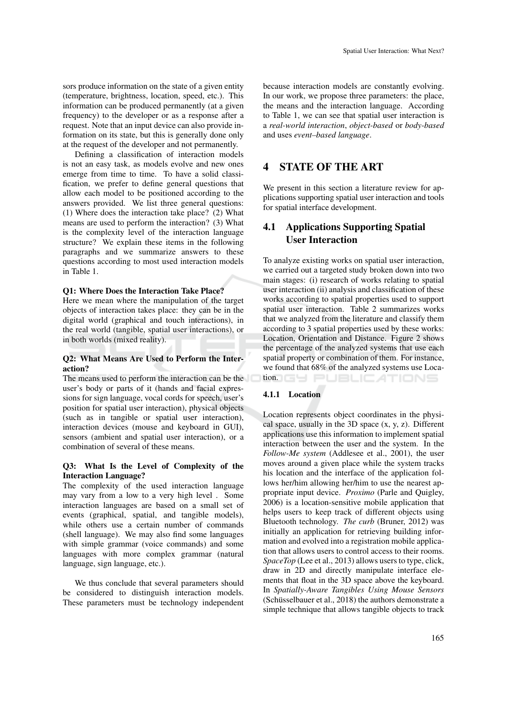sors produce information on the state of a given entity (temperature, brightness, location, speed, etc.). This information can be produced permanently (at a given frequency) to the developer or as a response after a request. Note that an input device can also provide information on its state, but this is generally done only at the request of the developer and not permanently.

Defining a classification of interaction models is not an easy task, as models evolve and new ones emerge from time to time. To have a solid classification, we prefer to define general questions that allow each model to be positioned according to the answers provided. We list three general questions: (1) Where does the interaction take place? (2) What means are used to perform the interaction? (3) What is the complexity level of the interaction language structure? We explain these items in the following paragraphs and we summarize answers to these questions according to most used interaction models in Table 1.

#### Q1: Where Does the Interaction Take Place?

Here we mean where the manipulation of the target objects of interaction takes place: they can be in the digital world (graphical and touch interactions), in the real world (tangible, spatial user interactions), or in both worlds (mixed reality).

### Q2: What Means Are Used to Perform the Interaction?

The means used to perform the interaction can be the user's body or parts of it (hands and facial expressions for sign language, vocal cords for speech, user's position for spatial user interaction), physical objects (such as in tangible or spatial user interaction), interaction devices (mouse and keyboard in GUI), sensors (ambient and spatial user interaction), or a combination of several of these means.

### Q3: What Is the Level of Complexity of the Interaction Language?

The complexity of the used interaction language may vary from a low to a very high level . Some interaction languages are based on a small set of events (graphical, spatial, and tangible models), while others use a certain number of commands (shell language). We may also find some languages with simple grammar (voice commands) and some languages with more complex grammar (natural language, sign language, etc.).

We thus conclude that several parameters should be considered to distinguish interaction models. These parameters must be technology independent because interaction models are constantly evolving. In our work, we propose three parameters: the place, the means and the interaction language. According to Table 1, we can see that spatial user interaction is a *real-world interaction*, *object-based* or *body-based* and uses *event–based language*.

## 4 STATE OF THE ART

We present in this section a literature review for applications supporting spatial user interaction and tools for spatial interface development.

## 4.1 Applications Supporting Spatial User Interaction

To analyze existing works on spatial user interaction, we carried out a targeted study broken down into two main stages: (i) research of works relating to spatial user interaction (ii) analysis and classification of these works according to spatial properties used to support spatial user interaction. Table 2 summarizes works that we analyzed from the literature and classify them according to 3 spatial properties used by these works: Location, Orientation and Distance. Figure 2 shows the percentage of the analyzed systems that use each spatial property or combination of them. For instance, we found that 68% of the analyzed systems use Loca**tion. GY PUBLICATIONS** 

### 4.1.1 Location

Location represents object coordinates in the physical space, usually in the 3D space  $(x, y, z)$ . Different applications use this information to implement spatial interaction between the user and the system. In the *Follow-Me system* (Addlesee et al., 2001), the user moves around a given place while the system tracks his location and the interface of the application follows her/him allowing her/him to use the nearest appropriate input device. *Proximo* (Parle and Quigley, 2006) is a location-sensitive mobile application that helps users to keep track of different objects using Bluetooth technology. *The curb* (Bruner, 2012) was initially an application for retrieving building information and evolved into a registration mobile application that allows users to control access to their rooms. *SpaceTop* (Lee et al., 2013) allows users to type, click, draw in 2D and directly manipulate interface elements that float in the 3D space above the keyboard. In *Spatially-Aware Tangibles Using Mouse Sensors* (Schüsselbauer et al., 2018) the authors demonstrate a simple technique that allows tangible objects to track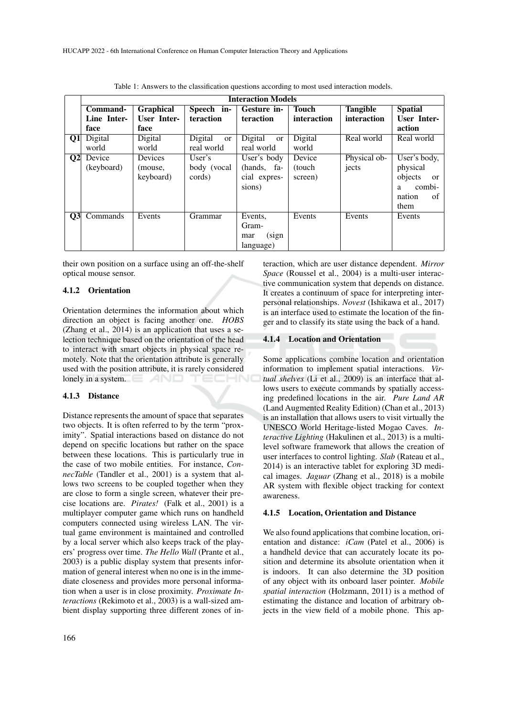|                | <b>Interaction Models</b> |                    |                          |                          |              |                 |                        |
|----------------|---------------------------|--------------------|--------------------------|--------------------------|--------------|-----------------|------------------------|
|                | Command-                  | <b>Graphical</b>   | Speech in-               | Gesture in-              | <b>Touch</b> | <b>Tangible</b> | <b>Spatial</b>         |
|                | Line Inter-               | <b>User Inter-</b> | <b>teraction</b>         | teraction                | interaction  | interaction     | <b>User Inter-</b>     |
|                | face                      | face               |                          |                          |              |                 | action                 |
| 01             | Digital                   | Digital            | Digital<br><sub>or</sub> | Digital<br><sub>or</sub> | Digital      | Real world      | Real world             |
|                | world                     | world              | real world               | real world               | world        |                 |                        |
| Q <sub>2</sub> | Device                    | Devices            | User's                   | User's body              | Device       | Physical ob-    | User's body,           |
|                | (keyboard)                | (mouse,            | body (vocal              | (hands, fa-              | (touch)      | jects           | physical               |
|                |                           | keyboard)          | cords)                   | cial expres-             | screen)      |                 | objects<br>or          |
|                |                           |                    |                          | sions)                   |              |                 | combi-<br>$\mathbf{a}$ |
|                |                           |                    |                          |                          |              |                 | nation<br>of           |
|                |                           |                    |                          |                          |              |                 | them                   |
| Q <sub>3</sub> | Commands                  | Events             | Grammar                  | Events,                  | Events       | Events          | Events                 |
|                |                           |                    |                          | Gram-                    |              |                 |                        |
|                |                           |                    |                          | (sign)<br>mar            |              |                 |                        |
|                |                           |                    |                          | language)                |              |                 |                        |

Table 1: Answers to the classification questions according to most used interaction models.

their own position on a surface using an off-the-shelf optical mouse sensor.

#### 4.1.2 Orientation

Orientation determines the information about which direction an object is facing another one. *HOBS* (Zhang et al., 2014) is an application that uses a selection technique based on the orientation of the head to interact with smart objects in physical space remotely. Note that the orientation attribute is generally used with the position attribute, it is rarely considered lonely in a system. TECHNO

#### 4.1.3 Distance

Distance represents the amount of space that separates two objects. It is often referred to by the term "proximity". Spatial interactions based on distance do not depend on specific locations but rather on the space between these locations. This is particularly true in the case of two mobile entities. For instance, *ConnecTable* (Tandler et al., 2001) is a system that allows two screens to be coupled together when they are close to form a single screen, whatever their precise locations are. *Pirates!* (Falk et al., 2001) is a multiplayer computer game which runs on handheld computers connected using wireless LAN. The virtual game environment is maintained and controlled by a local server which also keeps track of the players' progress over time. *The Hello Wall* (Prante et al., 2003) is a public display system that presents information of general interest when no one is in the immediate closeness and provides more personal information when a user is in close proximity. *Proximate Interactions* (Rekimoto et al., 2003) is a wall-sized ambient display supporting three different zones of interaction, which are user distance dependent. *Mirror Space* (Roussel et al., 2004) is a multi-user interactive communication system that depends on distance. It creates a continuum of space for interpreting interpersonal relationships. *Novest* (Ishikawa et al., 2017) is an interface used to estimate the location of the finger and to classify its state using the back of a hand.

#### 4.1.4 Location and Orientation

Some applications combine location and orientation information to implement spatial interactions. *Virtual shelves* (Li et al., 2009) is an interface that allows users to execute commands by spatially accessing predefined locations in the air. *Pure Land AR* (Land Augmented Reality Edition) (Chan et al., 2013) is an installation that allows users to visit virtually the UNESCO World Heritage-listed Mogao Caves. *Interactive Lighting* (Hakulinen et al., 2013) is a multilevel software framework that allows the creation of user interfaces to control lighting. *Slab* (Rateau et al., 2014) is an interactive tablet for exploring 3D medical images. *Jaguar* (Zhang et al., 2018) is a mobile AR system with flexible object tracking for context awareness.

#### 4.1.5 Location, Orientation and Distance

We also found applications that combine location, orientation and distance: *iCam* (Patel et al., 2006) is a handheld device that can accurately locate its position and determine its absolute orientation when it is indoors. It can also determine the 3D position of any object with its onboard laser pointer. *Mobile spatial interaction* (Holzmann, 2011) is a method of estimating the distance and location of arbitrary objects in the view field of a mobile phone. This ap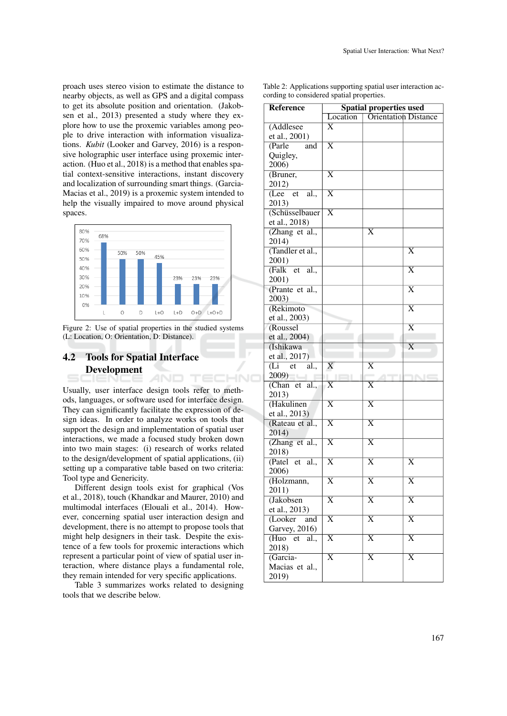proach uses stereo vision to estimate the distance to nearby objects, as well as GPS and a digital compass to get its absolute position and orientation. (Jakobsen et al., 2013) presented a study where they explore how to use the proxemic variables among people to drive interaction with information visualizations. *Kubit* (Looker and Garvey, 2016) is a responsive holographic user interface using proxemic interaction. (Huo et al., 2018) is a method that enables spatial context-sensitive interactions, instant discovery and localization of surrounding smart things. (Garcia-Macias et al., 2019) is a proxemic system intended to help the visually impaired to move around physical spaces.



Figure 2: Use of spatial properties in the studied systems (L: Location, O: Orientation, D: Distance).

### 4.2 Tools for Spatial Interface Development AND TECHNO

Usually, user interface design tools refer to methods, languages, or software used for interface design. They can significantly facilitate the expression of design ideas. In order to analyze works on tools that support the design and implementation of spatial user interactions, we made a focused study broken down into two main stages: (i) research of works related to the design/development of spatial applications, (ii) setting up a comparative table based on two criteria: Tool type and Genericity.

Different design tools exist for graphical (Vos et al., 2018), touch (Khandkar and Maurer, 2010) and multimodal interfaces (Elouali et al., 2014). However, concerning spatial user interaction design and development, there is no attempt to propose tools that might help designers in their task. Despite the existence of a few tools for proxemic interactions which represent a particular point of view of spatial user interaction, where distance plays a fundamental role, they remain intended for very specific applications.

Table 3 summarizes works related to designing tools that we describe below.

Table 2: Applications supporting spatial user interaction according to considered spatial properties.

| <b>Reference</b>      | <b>Spatial properties used</b> |                             |                       |  |
|-----------------------|--------------------------------|-----------------------------|-----------------------|--|
|                       | Location                       | <b>Orientation Distance</b> |                       |  |
| (Addlesee             | X                              |                             |                       |  |
| et al., 2001)         |                                |                             |                       |  |
| (Parle<br>and         | $\overline{\text{X}}$          |                             |                       |  |
| Quigley,              |                                |                             |                       |  |
| 2006)                 |                                |                             |                       |  |
| (Bruner,              | $\overline{\text{X}}$          |                             |                       |  |
| 2012)                 |                                |                             |                       |  |
| (Lee)<br>et<br>al.,   | $\overline{\text{X}}$          |                             |                       |  |
| 2013)                 |                                |                             |                       |  |
| (Schüsselbauer        | $\overline{\text{X}}$          |                             |                       |  |
| et al., 2018)         |                                |                             |                       |  |
| (Zhang et al.,        |                                | X                           |                       |  |
| 2014)                 |                                |                             |                       |  |
| (Tandler et al.,      |                                |                             | X                     |  |
| 2001)                 |                                |                             |                       |  |
| (Falk)<br>et<br>al.,  |                                |                             | $\overline{\text{X}}$ |  |
| 2001)                 |                                |                             |                       |  |
| (Prante et al.,       |                                |                             | $\overline{\text{X}}$ |  |
| 2003)                 |                                |                             |                       |  |
| (Rekimoto             |                                |                             | X                     |  |
| et al., 2003)         |                                |                             |                       |  |
| (Roussel              |                                |                             | $\overline{\text{X}}$ |  |
|                       |                                |                             |                       |  |
| et al., 2004)         |                                |                             | X                     |  |
| (Ishikawa             |                                |                             |                       |  |
| et al., 2017)         |                                | $\overline{\text{X}}$       |                       |  |
| (Li et al.,           | X                              |                             |                       |  |
| (2009)                |                                |                             | INE                   |  |
| (Chan et al.,         | X                              | $\overline{\text{X}}$       |                       |  |
| 2013)                 |                                |                             |                       |  |
| (Hakulinen            | $\overline{\text{X}}$          | $\overline{\text{X}}$       |                       |  |
| et al., 2013)         |                                |                             |                       |  |
| (Rateau et al.,       | $\overline{\mathrm{X}}$        | $\overline{\text{X}}$       |                       |  |
| 2014)                 |                                |                             |                       |  |
| (Zhang et al.,        | $\overline{\text{X}}$          | $\overline{\text{X}}$       |                       |  |
| 2018)                 |                                |                             |                       |  |
| (Patel et<br>al.,     | $\overline{\text{X}}$          | $\overline{\text{X}}$       | X                     |  |
| 2006)                 |                                |                             |                       |  |
| (Holzmann,            | $\overline{\text{X}}$          | $\overline{\text{X}}$       | $\overline{\text{X}}$ |  |
| 2011)                 |                                |                             |                       |  |
| (Jakobsen             | X                              | X                           | X                     |  |
| et al., 2013)         |                                |                             |                       |  |
| (Looker<br>and        | $\overline{\text{X}}$          | $\overline{\text{X}}$       | $\overline{\text{X}}$ |  |
| <b>Garvey</b> , 2016) |                                |                             |                       |  |
| (Huo<br>et<br>al.,    | X                              | X                           | $\overline{\text{X}}$ |  |
| 2018)                 |                                |                             |                       |  |
| (Garcia-              | $\overline{\text{X}}$          | $\overline{\text{X}}$       | $\overline{\text{X}}$ |  |
| Macias et al.,        |                                |                             |                       |  |
| 2019)                 |                                |                             |                       |  |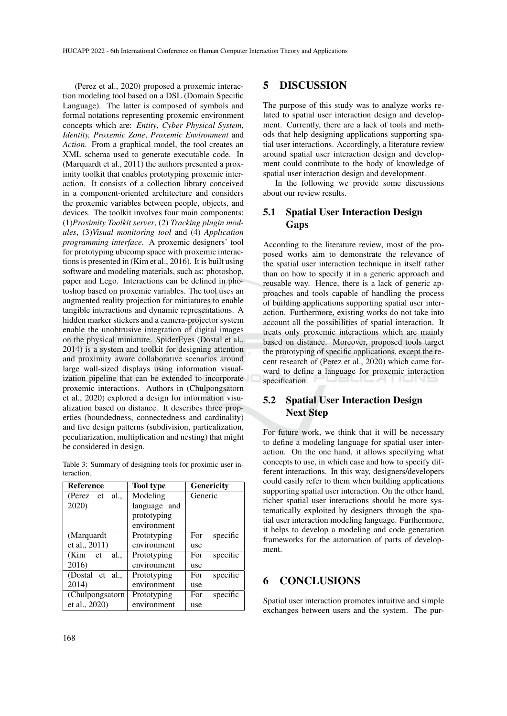(Perez et al., 2020) proposed a proxemic interaction modeling tool based on a DSL (Domain Specific Language). The latter is composed of symbols and formal notations representing proxemic environment concepts which are: *Entity*, *Cyber Physical System*, *Identity, Proxemic Zone*, *Proxemic Environment* and *Action*. From a graphical model, the tool creates an XML schema used to generate executable code. In (Marquardt et al., 2011) the authors presented a proximity toolkit that enables prototyping proxemic interaction. It consists of a collection library conceived in a component-oriented architecture and considers the proxemic variables between people, objects, and devices. The toolkit involves four main components: (1)*Proximity Toolkit server*, (2) *Tracking plugin modules*, (3)*Visual monitoring tool* and (4) *Application programming interface*. A proxemic designers' tool for prototyping ubicomp space with proxemic interactions is presented in (Kim et al., 2016). It is built using software and modeling materials, such as: photoshop, paper and Lego. Interactions can be defined in photoshop based on proxemic variables. The tool uses an augmented reality projection for miniatures to enable tangible interactions and dynamic representations. A hidden marker stickers and a camera-projector system enable the unobtrusive integration of digital images on the physical miniature. SpiderEyes (Dostal et al., 2014) is a system and toolkit for designing attention and proximity aware collaborative scenarios around large wall-sized displays using information visualization pipeline that can be extended to incorporate proxemic interactions. Authors in (Chulpongsatorn et al., 2020) explored a design for information visualization based on distance. It describes three properties (boundedness, connectedness and cardinality) and five design patterns (subdivision, particalization, peculiarization, multiplication and nesting) that might be considered in design.

|            | Table 3: Summary of designing tools for proximic user in- |  |  |  |
|------------|-----------------------------------------------------------|--|--|--|
| teraction. |                                                           |  |  |  |

| <b>Reference</b>    | <b>Tool type</b> | <b>Genericity</b> |  |  |
|---------------------|------------------|-------------------|--|--|
| al.<br>(Perez<br>et | Modeling         | Generic           |  |  |
| 2020)               | language and     |                   |  |  |
|                     | prototyping      |                   |  |  |
|                     | environment      |                   |  |  |
| (Marquardt          | Prototyping      | specific<br>For   |  |  |
| et al., 2011)       | environment      | use               |  |  |
| (Kim<br>al<br>et    | Prototyping      | specific<br>For   |  |  |
| 2016)               | environment      | use               |  |  |
| (Dostal et al.,     | Prototyping      | specific<br>For   |  |  |
| 2014)               | environment      | use               |  |  |
| (Chulpongsatorn     | Prototyping      | specific<br>For   |  |  |
| et al., 2020)       | environment      | use               |  |  |

### 5 DISCUSSION

The purpose of this study was to analyze works related to spatial user interaction design and development. Currently, there are a lack of tools and methods that help designing applications supporting spatial user interactions. Accordingly, a literature review around spatial user interaction design and development could contribute to the body of knowledge of spatial user interaction design and development.

In the following we provide some discussions about our review results.

## 5.1 Spatial User Interaction Design Gaps

According to the literature review, most of the proposed works aim to demonstrate the relevance of the spatial user interaction technique in itself rather than on how to specify it in a generic approach and reusable way. Hence, there is a lack of generic approaches and tools capable of handling the process of building applications supporting spatial user interaction. Furthermore, existing works do not take into account all the possibilities of spatial interaction. It treats only proxemic interactions which are mainly based on distance. Moreover, proposed tools target the prototyping of specific applications, except the recent research of (Perez et al., 2020) which came forward to define a language for proxemic interaction specification.

# 5.2 Spatial User Interaction Design Next Step

For future work, we think that it will be necessary to define a modeling language for spatial user interaction. On the one hand, it allows specifying what concepts to use, in which case and how to specify different interactions. In this way, designers/developers could easily refer to them when building applications supporting spatial user interaction. On the other hand, richer spatial user interactions should be more systematically exploited by designers through the spatial user interaction modeling language. Furthermore, it helps to develop a modeling and code generation frameworks for the automation of parts of development.

## 6 CONCLUSIONS

Spatial user interaction promotes intuitive and simple exchanges between users and the system. The pur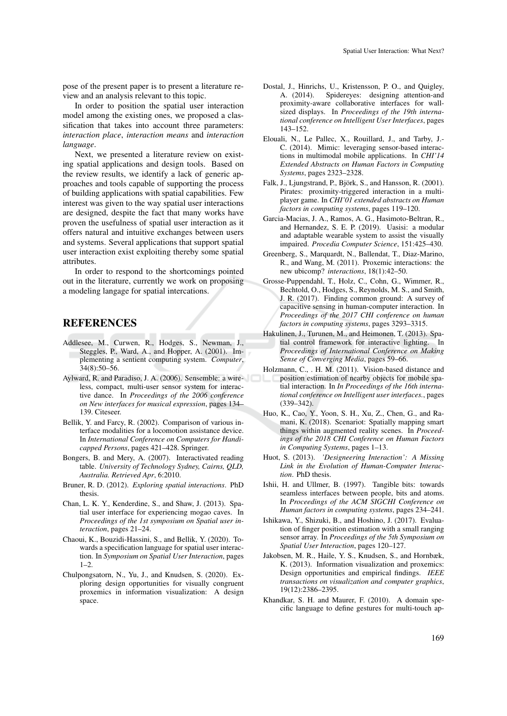pose of the present paper is to present a literature review and an analysis relevant to this topic.

In order to position the spatial user interaction model among the existing ones, we proposed a classification that takes into account three parameters: *interaction place*, *interaction means* and *interaction language*.

Next, we presented a literature review on existing spatial applications and design tools. Based on the review results, we identify a lack of generic approaches and tools capable of supporting the process of building applications with spatial capabilities. Few interest was given to the way spatial user interactions are designed, despite the fact that many works have proven the usefulness of spatial user interaction as it offers natural and intuitive exchanges between users and systems. Several applications that support spatial user interaction exist exploiting thereby some spatial attributes.

In order to respond to the shortcomings pointed out in the literature, currently we work on proposing a modeling langage for spatial intercations.

## **REFERENCES**

- Addlesee, M., Curwen, R., Hodges, S., Newman, J., Steggles, P., Ward, A., and Hopper, A. (2001). Implementing a sentient computing system. *Computer*,  $34(8):50-\overline{56}$ .
- Aylward, R. and Paradiso, J. A. (2006). Sensemble: a wireless, compact, multi-user sensor system for interactive dance. In *Proceedings of the 2006 conference on New interfaces for musical expression*, pages 134– 139. Citeseer.
- Bellik, Y. and Farcy, R. (2002). Comparison of various interface modalities for a locomotion assistance device. In *International Conference on Computers for Handicapped Persons*, pages 421–428. Springer.
- Bongers, B. and Mery, A. (2007). Interactivated reading table. *University of Technology Sydney, Cairns, QLD, Australia. Retrieved Apr*, 6:2010.
- Bruner, R. D. (2012). *Exploring spatial interactions*. PhD thesis.
- Chan, L. K. Y., Kenderdine, S., and Shaw, J. (2013). Spatial user interface for experiencing mogao caves. In *Proceedings of the 1st symposium on Spatial user interaction*, pages 21–24.
- Chaoui, K., Bouzidi-Hassini, S., and Bellik, Y. (2020). Towards a specification language for spatial user interaction. In *Symposium on Spatial User Interaction*, pages  $1 - 2$ .
- Chulpongsatorn, N., Yu, J., and Knudsen, S. (2020). Exploring design opportunities for visually congruent proxemics in information visualization: A design space.
- Dostal, J., Hinrichs, U., Kristensson, P. O., and Quigley, A. (2014). Spidereyes: designing attention-and proximity-aware collaborative interfaces for wallsized displays. In *Proceedings of the 19th international conference on Intelligent User Interfaces*, pages 143–152.
- Elouali, N., Le Pallec, X., Rouillard, J., and Tarby, J.- C. (2014). Mimic: leveraging sensor-based interactions in multimodal mobile applications. In *CHI'14 Extended Abstracts on Human Factors in Computing Systems*, pages 2323–2328.
- Falk, J., Ljungstrand, P., Björk, S., and Hansson, R. (2001). Pirates: proximity-triggered interaction in a multiplayer game. In *CHI'01 extended abstracts on Human factors in computing systems*, pages 119–120.
- Garcia-Macias, J. A., Ramos, A. G., Hasimoto-Beltran, R., and Hernandez, S. E. P. (2019). Uasisi: a modular and adaptable wearable system to assist the visually impaired. *Procedia Computer Science*, 151:425–430.
- Greenberg, S., Marquardt, N., Ballendat, T., Diaz-Marino, R., and Wang, M. (2011). Proxemic interactions: the new ubicomp? *interactions*, 18(1):42–50.
- Grosse-Puppendahl, T., Holz, C., Cohn, G., Wimmer, R., Bechtold, O., Hodges, S., Reynolds, M. S., and Smith, J. R. (2017). Finding common ground: A survey of capacitive sensing in human-computer interaction. In *Proceedings of the 2017 CHI conference on human factors in computing systems*, pages 3293–3315.
- Hakulinen, J., Turunen, M., and Heimonen, T. (2013). Spatial control framework for interactive lighting. In *Proceedings of International Conference on Making Sense of Converging Media*, pages 59–66.
- Holzmann, C., . H. M. (2011). Vision-based distance and position estimation of nearby objects for mobile spatial interaction. In *In Proceedings of the 16th international conference on Intelligent user interfaces.*, pages (339–342).
- Huo, K., Cao, Y., Yoon, S. H., Xu, Z., Chen, G., and Ramani, K. (2018). Scenariot: Spatially mapping smart things within augmented reality scenes. In *Proceedings of the 2018 CHI Conference on Human Factors in Computing Systems*, pages 1–13.
- Huot, S. (2013). *'Designeering Interaction': A Missing Link in the Evolution of Human-Computer Interaction*. PhD thesis.
- Ishii, H. and Ullmer, B. (1997). Tangible bits: towards seamless interfaces between people, bits and atoms. In *Proceedings of the ACM SIGCHI Conference on Human factors in computing systems*, pages 234–241.
- Ishikawa, Y., Shizuki, B., and Hoshino, J. (2017). Evaluation of finger position estimation with a small ranging sensor array. In *Proceedings of the 5th Symposium on Spatial User Interaction*, pages 120–127.
- Jakobsen, M. R., Haile, Y. S., Knudsen, S., and Hornbæk, K. (2013). Information visualization and proxemics: Design opportunities and empirical findings. *IEEE transactions on visualization and computer graphics*, 19(12):2386–2395.
- Khandkar, S. H. and Maurer, F. (2010). A domain specific language to define gestures for multi-touch ap-